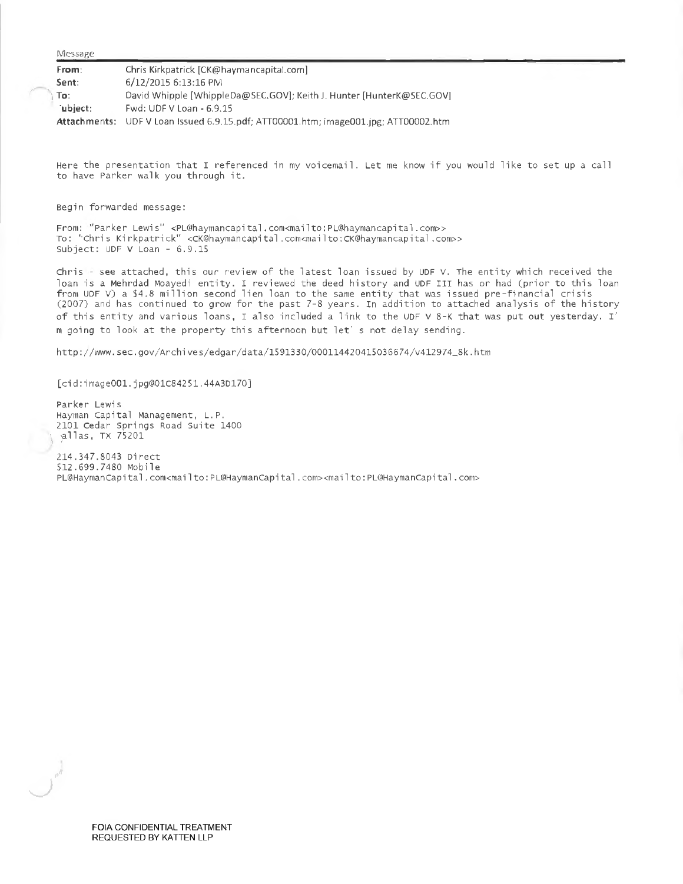Message

| From:    | Chris Kirkpatrick [CK@haymancapital.com]                                            |
|----------|-------------------------------------------------------------------------------------|
| Sent:    | 6/12/2015 6:13:16 PM                                                                |
| ∖ To: i  | David Whipple [WhippleDa@SEC.GOV]; Keith J. Hunter [HunterK@SEC.GOV]                |
| `ubiect: | Fwd: UDF V Loan - 6.9.15                                                            |
|          | Attachments: UDF V Loan Issued 6.9.15.pdf; ATT00001.htm; image001.jpg; ATT00002.htm |

Here the presentation that <sup>I</sup> referenced in my voicemail. Let me know if you would like to set up <sup>a</sup> call to have Parker walk you through it.

Begin forwarded message:

From: 'Parker Lewis" <PL@haymancapital.com<mailto;[PL@haymancapital.com>](mailto:PL@haymancapital.com)> To: 'Chris Kirkpatrick'' <CK@haymancapital.com<m</a>cnailto:CK@haymancapital.com>> Subject: UDF V Loan - 6.9.15

Chris - see attached, this our review of the latest loan issued by UDF V. The entity which received the loan is <sup>a</sup> Mehrdad Moayedi entity. I reviewed the deed history and UDF III has or had (prior to this loan from UDF V) <sup>a</sup> \$4.8 million second lien loan to the same entity that was issued pre-financial crisis (2007) and has continued to grow for the past 7-8 years. In addition to attached analysis of the history of this entity and various loans, I also included a link to the UDF V 8-K that was put out yesterday. I' <sup>m</sup> going to look at the property this afternoon but let' <sup>s</sup> not delay sending.

[http://www.sec.gov/Archives/edgar/data/1591330/000114420415036674/v412974\\_Sk.htm](http://www.sec.gov/Archives/edgar/data/1591330/000114420415036674/v412974_Sk.htm)

[cid:image001.jpg@01C84251.44A3D170]

Parker Lewis Hayman Capital Management, L.P. 2101 Cedar Springs Road Suite 1400 alias, TX <sup>75201</sup> 214.347.8043 Direct 512.699.7480 Mobile PL@HaymanCapital.com<mailto: PL@HaymanCapital.com><mailto: PL@HaymanCapital.com>

FOIA CONFIDENTIAL TREATMENT REQUESTED BY KATTEN LLP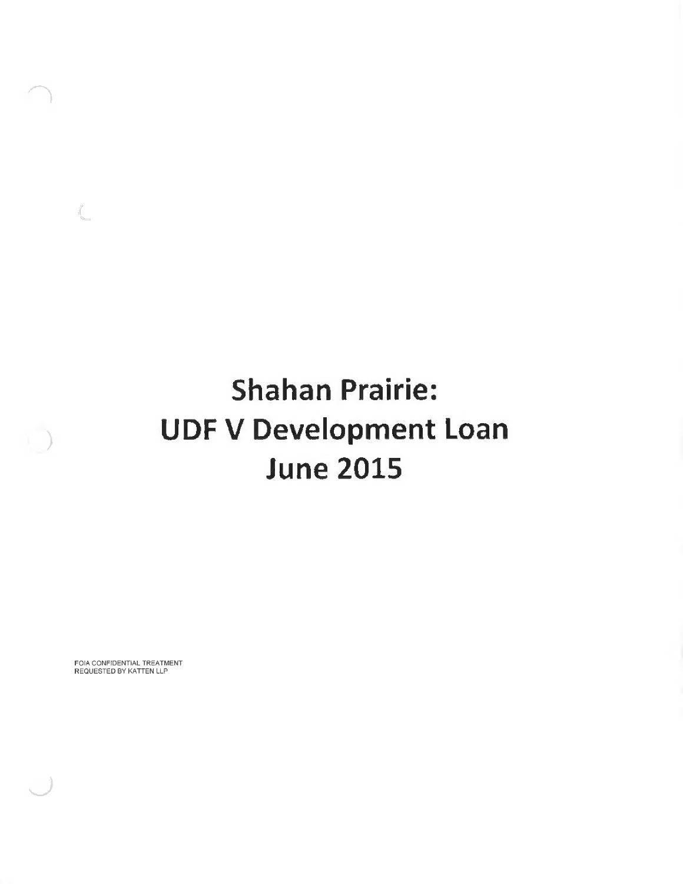# **Shahan Prairie: UDF V Development Loan June 2015**

FOIA CONFIDENTIAL TREATMENT REQUESTED BY KATTEN LLP

 $\begin{picture}(20,20) \put(0,0){\line(1,0){155}} \put(0,0){\line(1,0){155}} \put(0,0){\line(1,0){155}} \put(0,0){\line(1,0){155}} \put(0,0){\line(1,0){155}} \put(0,0){\line(1,0){155}} \put(0,0){\line(1,0){155}} \put(0,0){\line(1,0){155}} \put(0,0){\line(1,0){155}} \put(0,0){\line(1,0){155}} \put(0,0){\line(1,0){155}} \put(0,0){\line(1$ 

**)**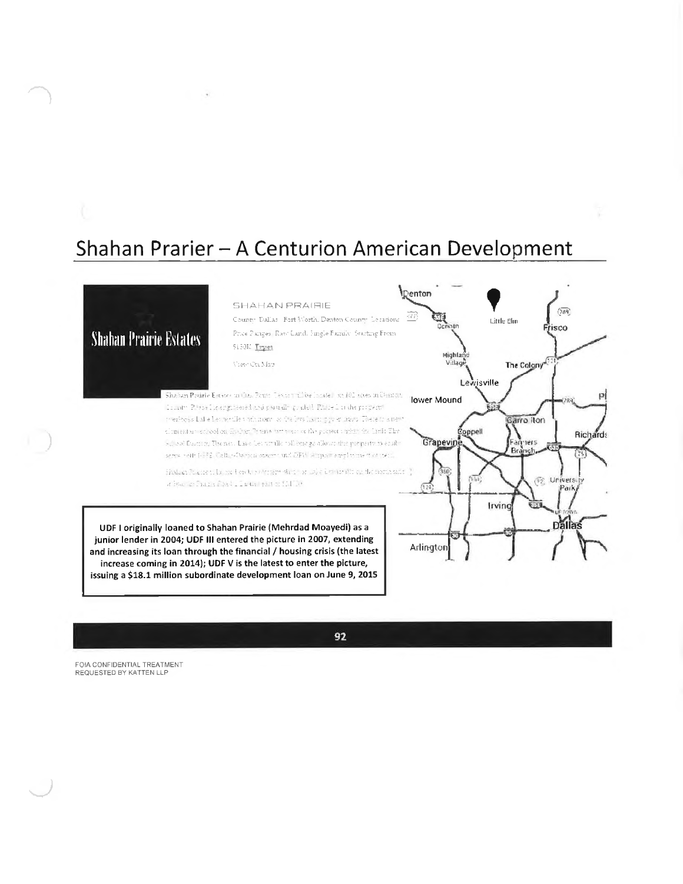## Shahan Prarier - A Centurion American Development



Irving

Arlington

**Dallas** 

UDF I originally loaned to Shahan Prairie (Mehrdad Moayedi) as a junior lender in 2004; UDF III entered the picture in 2007, extending and increasing its loan through the financial / housing crisis (the latest increase coming in 2014); UDF V is the latest to enter the picture, issuing a \$18.1 million subordinate development loan on June 9, 2015

92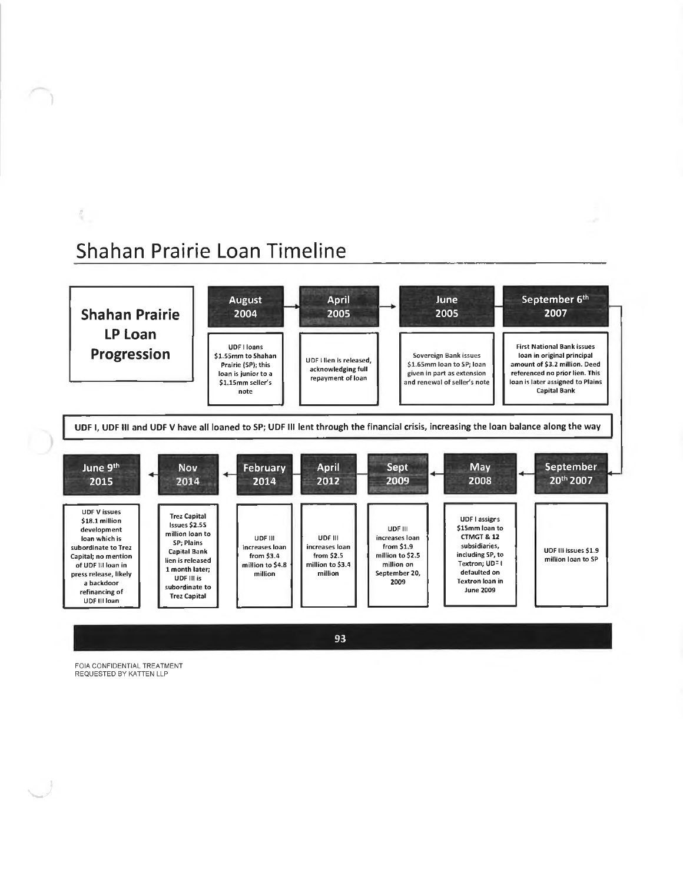## Shahan Prairie Loan Timeline



**FOIA CONFIDENTIAL TREATMENT REQUESTED BY KATTEN LLP**

**1**

*.ft*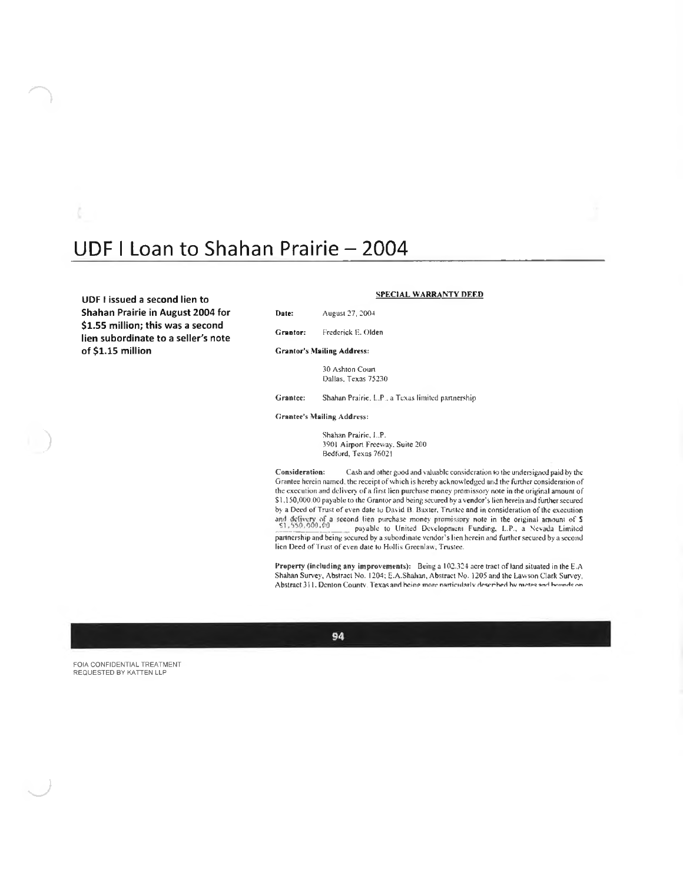### UDF I Loan to Shahan Prairie - 2004

**SPECIAL WARRANTY DEF.D UDF <sup>I</sup> issued <sup>a</sup> second lien to Shahan Prairie in August 2004 for \$1.55 million; this was a second lien subordinate to a seller's note of \$1.15 million**

Date: August 27. 2004

Grantor: Frederick F.. Olden

### **Grantor's Mailing Address:**

30 Ashton Court Dallas. Texas 75230

Grantee: Shahan Prairie. L.P.. a Texas limited partnership

### Grantee's Mailing Address:

Shahan Prairie, I..P. .3901 Airport Freevvay. Suite 200 Bedford, Texas 76021

Cash und other good and valuable consideration to the undersigned paid by the Grantee herein named, the receipt of which is hereby acknowledged and the further consideration of the execution and delivery of a first lien purchase money promissory note in the original amount of \$1,150,000.00 payable to the Grantor and being secured by a vendor's lien herein and further secured by a Deed of Trust of even date to David B. Baxter, Trustee and in consideration of the execution and defivery of a second lien purchase money promissions and in consideration of the execution<br>S1,550,000.00 associate in the original amount promissions of S1,550,000.00 payable to United Development Funding, L.P., a Nevada Limited partnership and being secured by a subordinate vendor's lien herein and further secured by a second lien Deed of Trust of even date to Hollis Greenlaw, Trustee, Consideration:

Property (including any improvements): Being a 102.324 acre tract of land situated in the E.A. Shahan Survey, Abstract No. 1204; E.A.Shahan, Abstract No. 1205 and the Lawson Clark Survey, **Abstract <sup>3</sup> H. Denton Coiintv. Texas and heinn mort\* nartirnl.^rlv hv anH KrinnHe rvn**



FOIA CONFIDENTIAL TREATMENT REQUESTED BY KATTEN LLP

**)**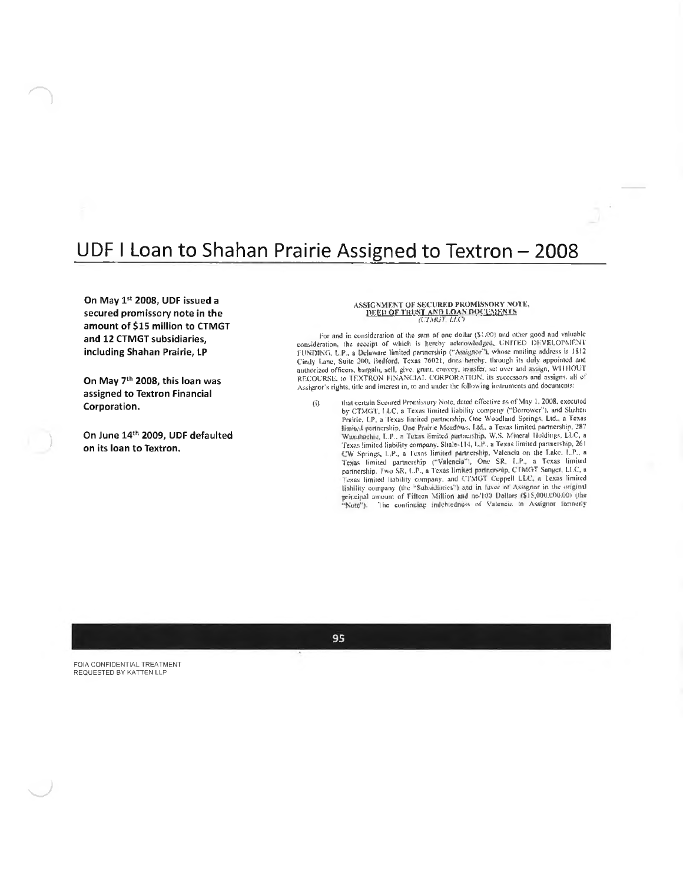### UDF I Loan to Shahan Prairie Assigned to Textron - 2008

On May 1st 2008, UDF issued a secured promissory note in the amount of \$15 million to CTMGT and 12 CTMGT subsidiaries, including Shahan Prairie, LP

On May 7<sup>th</sup> 2008, this loan was assigned to Textron Financial Corporation.

On June 14th 2009, UDF defaulted on its loan to Textron.

### ASSIGNMENT OF SECURED PROMISSORY NOTE, DEED OF TRIST AND LOAN DOCUMENTS

For and in consideration of the sum of one dollar (\$1.00) and other good and valuable consideration, the receipt of which is hereby acknowledged, UNITED DEVELOPMENT<br>EUNDING, L.P., a Delaware limited partnership ("Assignor"), whose mniling address is 1812 Cindy Lane, Suite 260, Bedford, Texas 76021, does bereby, through its daly appointed and authorized officers, bargain, sell, give, grant, convey, transfer, set over and assign, WHHOUT RECOURSE, to JEXTRON FINANCIAL CORPORATION, its successors and assigns, all of Assignor's rights, title and interest in, to and under the following instruments and documents:

 $(i)$ 

that certain Secured Promissory Note, dated effective as of May 1, 2008, executed by CTMGT, LLC, a Texas limited liability company ("Borrower"), and Shahan Prairie, I.P., a Texas limited partnership, One Woodland Springs, Ltd., a Texas Finited partnership, One Prairie Meadows. Ltd., a Texas limited partnership, 287<br>Waxahachia, L.P., a Texas limited partnership, W.S. Mineral Holdings, LLC, a<br>Texas limited liability company. Shale-114, L.P., a Texas limite CW Springs, L.P., a Texns limited partnership, Valencia on the Lake, L.P., a Texas limited partnership ("Valencia"), One SR, L.P., a Texas limited partnership. Two SR, L.P., a Texas limited partnership. CTMGT Sanger, LLC, Texas limited liability company, and CTMGT Coppell LLC, a Texas limited liability company (the "Subsidiaries") and in favor of Assignar in the original tanting company (in Fifteen Million and no/100 Dollars (\$15,000,000,000 (the "Note"). The continuing indebtedness of Vatencia in Assignor formerly

95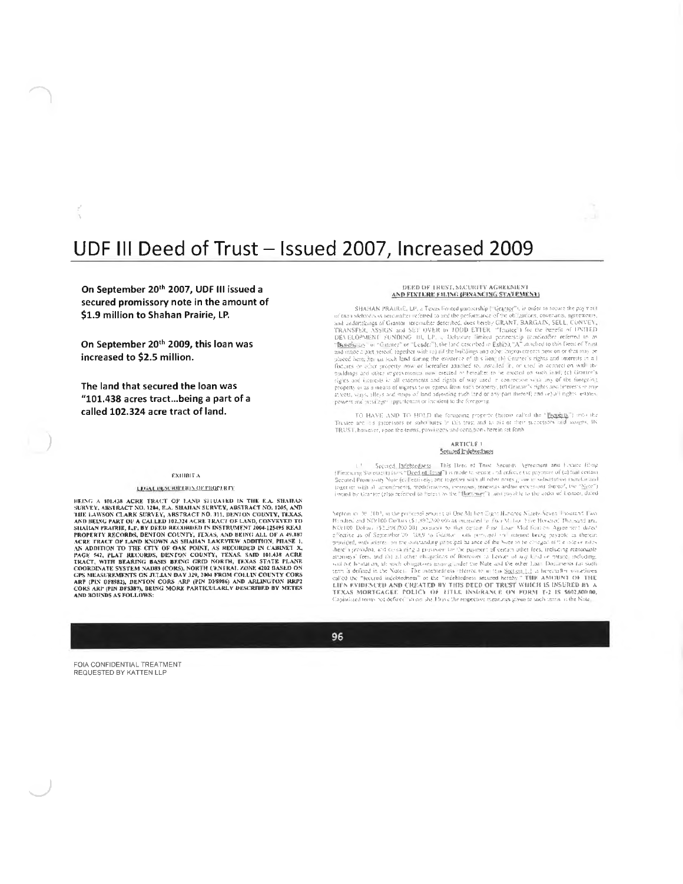### UDF III Deed of Trust - Issued 2007, Increased 2009

On September 20<sup>th</sup> 2007, UDF III issued a secured promissory note in the amount of \$1.9 million to Shahan Prairie, LP.

On September 20th 2009, this loan was increased to \$2.5 million.

The land that secured the loan was "101.438 acres tract...being a part of a called 102.324 acre tract of land.

#### **EXHIBIT A**

#### LEGAL DESCRIPTION OF PROPERTY

HEING A 101438 ACR TRACT OF LAND IN THE E.A. SHAHAN SURVEY, ARSTRACT NO. 1244, E.A. SHAHAN SURVEY, ABSTRACT NO. 1205, AND THE LAWSON CLARK SURVEY, ABSTRACT NO. 311, DENTON COUNTY, TEXAS, AND BELAND DEATH OF LARK SURVEY, AB AND BOUNDS AS FOLLOWS

#### DEED OF TRUST, SECURITY AGREEMENT AND FIXTERE FILING BUNANCING STATEMENT

SHAHAN PRACHE, LP, a Texas found the purchastical articles and the pay test of the and the pay test of the shadedness incoming the account the condition of the columns of the objections, coverants, agreements, and and<br>rati

TO HAVE AND TO HOUD the foreigning property (figure calcul the "lagging") ento the<br>Trustee and it's successors or substitutes in this trust and to all of their successions and avaging IN TRUST, however, upon the terms, provisions and conditions herein set forth-

#### **ARTICLE 1** Secured Indebtedness

 $1 -$  Second, Indebtedness. This Detail of Section Merchant and Eccano Eliop (Financing Stational) (i.e.s. "Deed of Army") is made to second, and enforce the payment of (a) fail certain Second Promission Newstand Condition

Septem at 20, 2002, in the prioritist amount of One Michen Eight Hundred Nizely Seven 1 sturdn't Law Nepton at 19.100), in the particular 2010 00: Maximum (10) and Maximum (10) and Maximum (10) 100 Maximum (10) and meaning to that expansive to the second Damasti and Nepton (82,392,000 00) as samplified that the property TEXAS MORTGAGEE POLICY OF HITLE INSURANCE ON FORM T-2 IS \$602,800.00,<br>Capitalized terms not defined whose shirt David the respective meanings given to seeds terms in the Nate,

96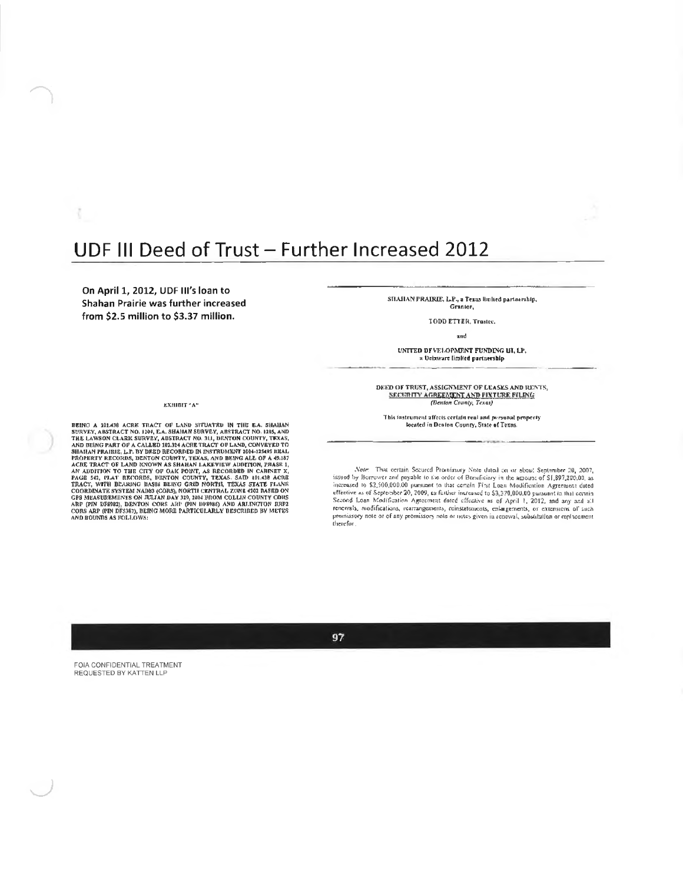### UDF III Deed of Trust - Further Increased 2012

On April 1, 2012, UDF III's loan to Shahan Prairie was further increased from \$2.5 million to \$3.37 million.

#### ЕХНІВІТ "А"

BEING A 101438 ACRE TRACT OF LAND SITUATRD IN THE E.A. SHAHAN SURVEY, ABSTRACT NO. 1104, E.A. SHAHAN SURVEY, ABSTRACT NO. 1105, AND BEING PART OF A CALLED 101334 ACRE TRACT OF LAND, CONVEYVED TO HARD SEND PROPRINT RECORDS,

SHAHAN PRAIRIE, L.P., a Texas linlied partnership, Grantor,

TODD ETTER, Trastec.

and

UNITED DEVELOPMENT FUNDING UI, LP, a Delaware limited partnership

DEED OF TRUST, ASSIGNMENT OF LEASES AND RENTS, SECURITY AGREEMENT AND FIXTURE FILING (Denton County, Texas)

This instrument affects certain real and personal property<br>located in Denton County, State of Texns.

Note: That certain Secured Promissory Note dated on or about September 20, 2007. issued by Berrower and possible to the order of Bernfieldry in the agrount of  $S1,897,200,00$ , as increased to  $S2,500,000.00$  paramet to that certain First Leen Modification Agreement dated effective as of September 20, Second Loan Modification Agreement dated effective as of April 1, 2012, and any acid at renewals, nodifications, rearrangements, ricestatements, consistences of April 1, 2012, and any acid at renewals, nodifications, rearr

97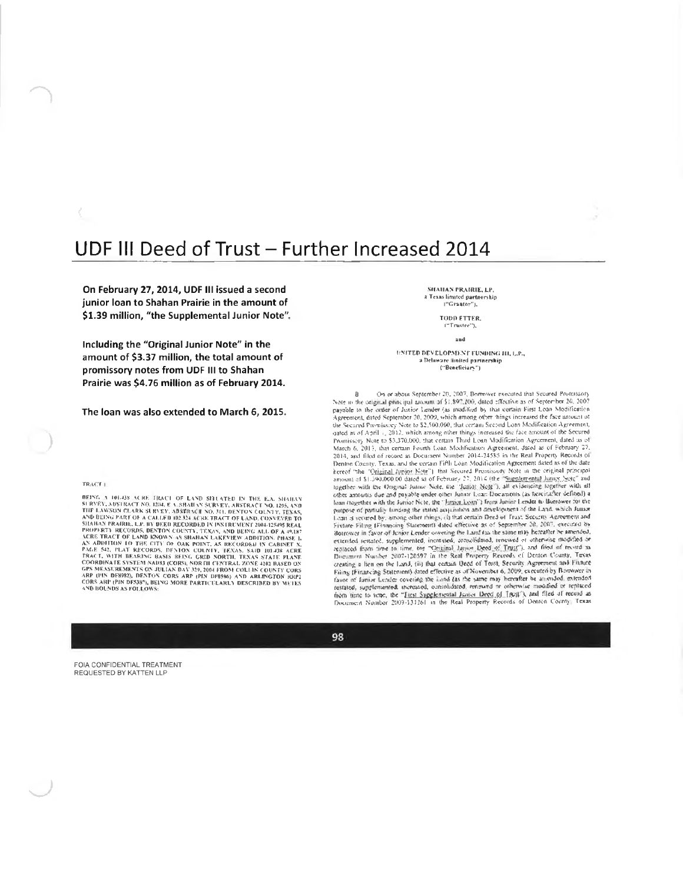### UDF III Deed of Trust - Further Increased 2014

On February 27, 2014, UDF III issued a second junior loan to Shahan Prairie in the amount of \$1.39 million, "the Supplemental Junior Note",

Including the "Original Junior Note" in the amount of \$3.37 million, the total amount of promissory notes from UDF III to Shahan Prairie was \$4.76 million as of February 2014.

The loan was also extended to March 6, 2015.

#### TRACT<sup>1</sup>

BEING A 101-03 ACRE TRACT OF LAND SITUATED IN THE E.A. SHARAY SURVEY, ABSTRACT NO. 1264, EX SHARAY SURVEY, ABSTRACT NO. 1265, AND BEIN RACT NO. 1264, EX EXECUTES AND REVINS THE LAWAY SURVEY COUNTY FEMALE AND BEING PRAIRIL AND BOUNDS AS EQUILOWS:

SHAHAN PRAIRIE, LP. a Texas limited partnership<br>|"Graator"],

#### TODD ETTER. ("Trustee"),

a bo

UNITED DEVELOPMENT FUNDING III, L.P., a Delaware limited partnership ("Beneficiary")

On or about September 20, 2007, Borrower executed that Secured Promissory  $\mathbf{R}$ Note in the original principal animum of \$1,80°,200, dated effective as of September 20, 2007 payable to the order of Junior Lender (as modified by that certain First Loan Modification<br>Agreement, ested September 20, 2009, which among other things increased the face anisural of the Secured Promissory Note to \$2,500,000, that certain Second Loan Modification Agreement one we can of April 1, 2012, which among other things increased the face amount of the Secure<br>patient as of April 1, 2012, which among other things increased the face amount of the Secure<br>Promissery Note to \$3.370.000, th Frommssey (sonce to solid form Fourth Loan Medification: Agreement, Jacob as of February 27, 2013, and filed of record as Decument Number 2014-24585 in the Real Property Records of Dentine County, Texas, and the certain Fi Ferror Schutz, Texas, and the Grand Time Local Schutz (Northern Brookers and the Critical Lipper Next Control Premission) Note in the original Interpret<br>amount of \$1.590,000.00 dated as of February 27, 2014 (the "Supplemen loan (tagether with the James Nete, the "*Ignogladges*]") lays almost tension to the mercion of particle lands with the many compared by among other rhings, (i) that earnier Deed of Frast Security Agreement and Firtune Fi transport in the technique of the state of the state of the state of the Band of the Band Channel Paints (Financial Statement) dated effective as of November 6, 2009, executed by Bortware in faster of family Lender coveri

98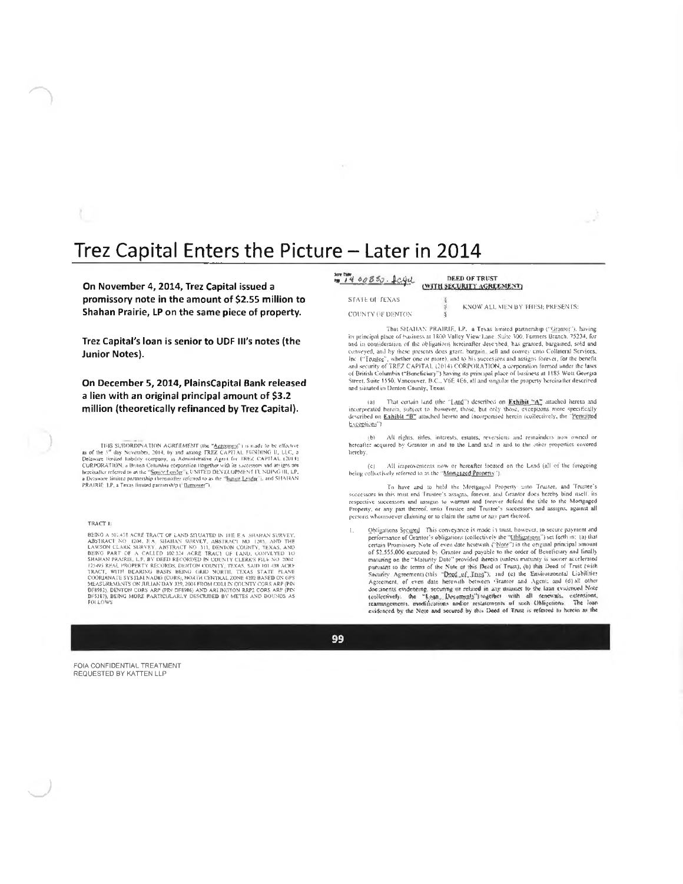### Trez Capital Enters the Picture - Later in 2014

On November 4, 2014, Trez Capital issued a promissory note in the amount of \$2.55 million to Shahan Prairie, LP on the same piece of property.

Trez Capital's loan is senior to UDF III's notes (the **Junior Notes).** 

On December 5, 2014, PlainsCapital Bank released a lien with an original principal amount of \$3.2 million (theoretically refinanced by Trez Capital).

THIS SURDINATION AGRIEMENT (the "Agristment") is made to be effective<br>as of the 3<sup>34</sup> day November, 2014, by and among TREZ CAPITAL FGNDING II, LLC, a<br>Delaware limited tabeliny company, as Amminitations Agric CHEC CAPITAL

#### TRACT I:

FORD 4. 02.458 AGRE TRACT OF LAND STUATED IN HIE BA SHAHAN SURVEY, ABSTRACT NO 1205, AND THE LAND CLARK SIMINAL SURVEY, ABSTRACT NO 1205, AND THE LAND CLARK SIMINAL BORN CLARK SURVEY, ABSTRACT NO 1205, AND THE BEING PART O

 $\frac{3\pi}{14}$   $\frac{14}{90850}$ . <u>Icel</u> DEED OF TRUST

### (WITH SECURITY AGREEMENT)

**STATE OF TEXAS** COUNTY OF DENTON

KNOW ALL MEN BY THESE PRESENTS:

That SHAHAN PRAIRIE, LP, a Texas limited partnership ("Grantor"), having its principal place of business at 1800 Valley View Lane. Suite 300, Formers Branch, 75234, for and in consideration of the obligations hereinafter described, has granted, burgained, sold and<br>conveyed, and by these presents does grant, bargain, sell and convey unto Collateral Services, The C'Trugleg", whether one or more), and to his successors and assigns forever, for the benefit<br>and security of TREZ CAPITAL (2014) CORPORATION, a corporation formed under the laws of British Columbia ("Beneficiary") having its principal place of business at 1185 West Georgia<br>Street, Suite 1550, Vancouver, B.C., V6E 4E6, all and singular the property hereinalter described and situated in Denton County, Texas

That certain land (the "Land") described on Exhibit "A" attached hereto and  $(31)$ incorporated herein, subject to however, those, but only those, exceptions more specifically described on Exhibit "B" attached hereto and incorporated herein (collectively, the "Pentalted Exceptions"

All rights, titles, interests, estates, reversions and remainders now owned or  $(b)$ hereafter acquired by Grantor in and to the Land and in and to the other properties covered hereby.

All improvements now or hereafter located on the Land (all of the foregoing being collectively referred to as the "Mangaged Property").

To have and to held the Mortgaged Property unto Trustee, and Trustee's successors in this must and Trustee's assagns, forever, and Grantor does hereby bind itself, its respective successors and ussigns to warrant and forever defend the title to the Mortgaged Property, or any part thereof, unto Trustee and Trustee's successors and assigns, against all persons whomsoever claiming or to claim the same or any part thereof.

Obligations Segured. This conveyance is made in trust, however, to secure payment and<br>performance of Grantor's obligations (collectively the "Chliggingny") set forth in: (a) that ecrition Promissory Note of even date herewith ("Note") in the original principal smount of \$2,555,000 executed by Grantor and payable to the order of Beneficiary and finally maturing on the "Maturity Date" provided therein (unless maturity is sooner accelerated<br>pursuant to the terms of the Note of this Deed of Trust), (b) this Deed of Trust (with Security Agreement) (this "Deppe of Tings"); and (e) the Environmental Liabilities<br>Agreement, of even date herewith between Grantor and Agent: and (d) all other especiently, or even user constructed in any mail of the latin evidenced Note<br>documents evidencing, its coming or related in any mailing to the latin evidenced Note<br>(collectively). the "Losin, Desimpsidy") (wighler) with a

99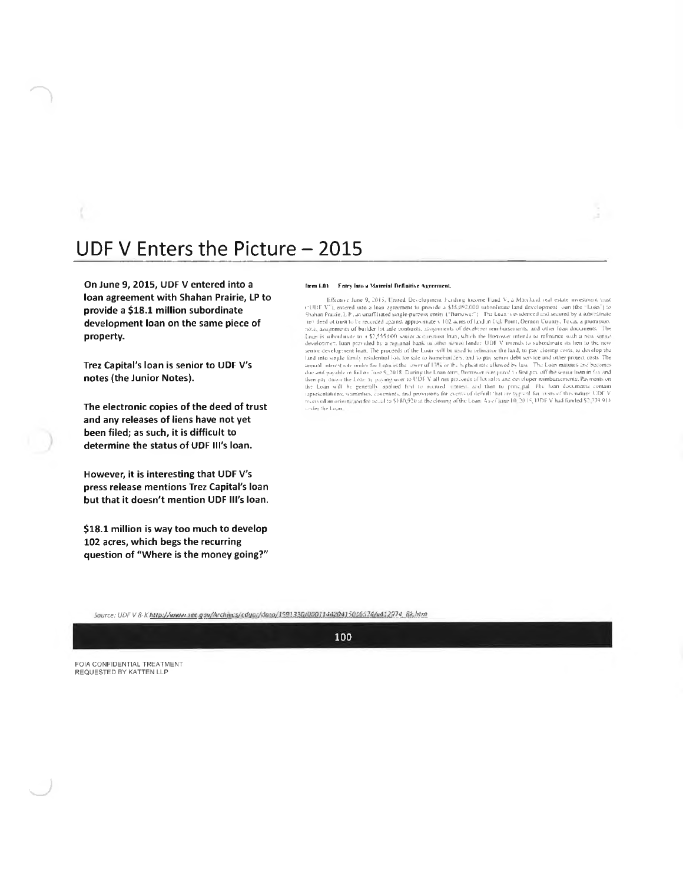### UDF V Enters the Picture - 2015

On June 9, 2015, UDF V entered into a loan agreement with Shahan Prairie, LP to provide a \$18.1 million subordinate development loan on the same piece of property.

Trez Capital's loan is senior to UDF V's notes (the Junior Notes).

The electronic copies of the deed of trust and any releases of liens have not yet been filed; as such, it is difficult to determine the status of UDF III's loan.

However, it is interesting that UDF V's press release mentions Trez Capital's loan but that it doesn't mention UDF III's loan.

\$18.1 million is way too much to develop 102 acres, which begs the recurring question of "Where is the money going?"

#### Item 1.01 Fotey into a Material Definitive Agreement.

Effective June 9, 2015, United Development Funding (neome Fund V, a Marchard estate investment that<br>
critical TV"), entered into a four agreement to provide a \$18.092,000 submitmain land development coin the "Eucan") to<br> according to the land, the procedure of the case with be used to relimence the land, to pay chosing costs, to develop the sentent certain the procedure of the land, to pay chosing costs, to develop the sentent development or an apparent to the Loan System and provisions for events of the last decline results and contained a provision of the Loan will be Loan will be loan in paying were to UDFV all net proceeds of bushes and content to provi inder the Loan.

Source: UDF V 8-K http://www.sec.gov/Archives/edgo//dato/1591330/000114420415036574/v412974\_8k.htm

100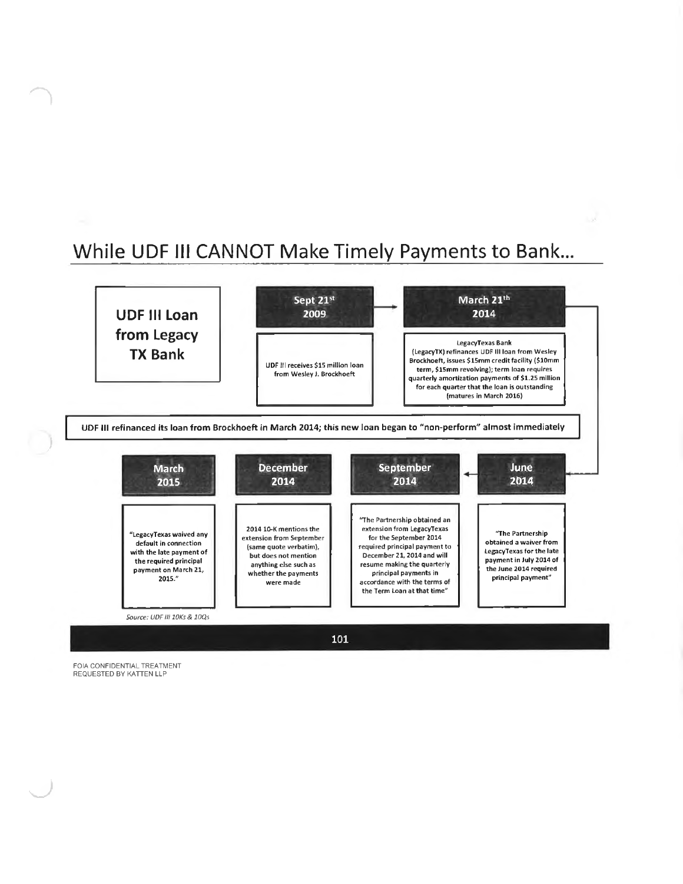## While UDF III CANNOT Make Timely Payments to Bank...



FOIA CONFIDENTIAL TREATMENT REQUESTED BY KATTEN LLP

*)*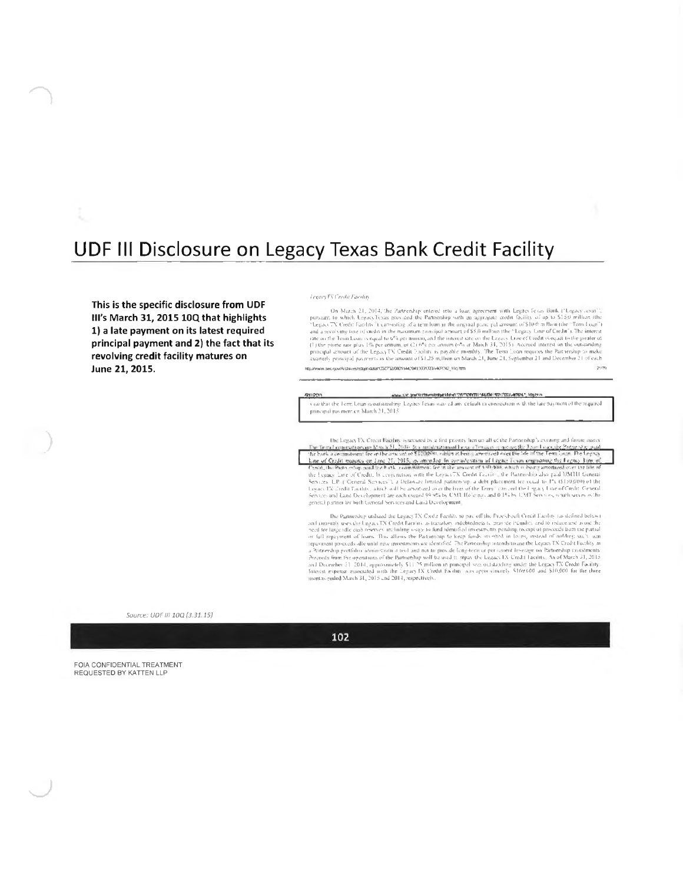### UDF III Disclosure on Legacy Texas Bank Credit Facility

This is the specific disclosure from UDF III's March 31, 2015 10Q that highlights 1) a late payment on its latest required principal payment and 2) the fact that its revolving credit facility matures on June 21, 2015.

#### Legacy EX Credit Faculto

On March 21, 2014, the 2utrechip entered into a four generies with Legacy Geas Bank ("Legacy cessi").<br>
pursuant to which Legacy Fexas provided the Partnership with an algorigiate coeffit facility of up to \$120 million (th quarterly principal payments in the amount of \$1.25 million on March 21, June 21, September 21 and December 21 of each http://www.sec.gov/Archives/edgendata/1335732/000114420419031303/v409342\_10q.htm 2100

#### www.sit.go/Actives/education/1000001/44/04900022-40047.http:// 614233

vear that the Term Louis is outstanding. Legacy fexas waived any default in connection with the late payment of the required principal pas ment on March 21, 2015

The Legacy D. Creatt Bachter is second by a first pronty here on all of the Partnership's extraing and force are the back a computer from Exchange and Machter is the part a computer of the single second over the single st

The Partnership utilized the Legacy TX Cool a Facility to pay off the Provisiboelt Credit Earlity (as defined below). and the probability associated and the set of the contraction of the probability and to relate and a studies that he probability the field of the contract of the set of the set of the set of the set of the set of the set o repairment process and until may measurements are denotined. The Partnership radiants to use the Legicity LAC Could Uncilly and the procedure of the Partnership conclusion Proceeds from the operations of the Partnership wi

Source: UDE III 100 (3.31.15)

102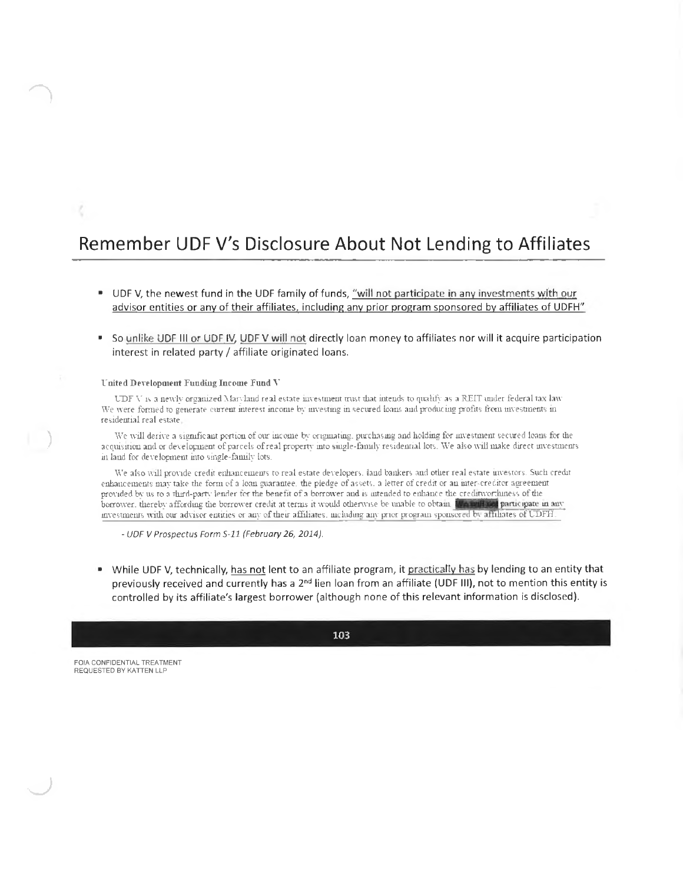### Remember UDF V's Disclosure About Not Lending to Affiliates

- UDF V, the newest fund in the UDF family of funds, "will not participate in any investments with our advisor entities or any of their affiliates, including any prior program sponsored by affiliates of UDFH"
- So unlike UDF III or UDF IV, UDF V will not directly loan money to affiliates nor will it acquire participation interest in related party / affiliate originated loans.

### United Development Funding Income Fund V

UDF V is a newly organized Maryland real estate investment must that intends to qualify as a REIT under federal tax law We were formed to generate current interest income by investing in secured loans and producing profits from investments in residential real estate.

We will derive a significant portion of our income by originating, purchasing and holding for investment secured loans for the acquisition and or development of parcels of real property into single-family residential lots. We also will make direct investments in land for development into single-family lots.

We also will provide credit enhancements to real estate developers, land bankers and other real estate investors. Such credit enhancements may take the form of a loan guarantee, the pledge of assets, a letter of credit or an inter-creditor agreement provided by us to a third-party lender for the benefit of a borrower and is intended to enhance the creditworthiness of the borrower, thereby affording the borrower credit at terms it would otherwise be unable to obtain. It a will not participate in any investments with our advisor entities or any of their affiliates, including any prior program sponsored by affiliates of UDFH.

- UDF V Prospectus Form S-11 (February 26, 2014).

• While UDF V, technically, has not lent to an affiliate program, it practically has by lending to an entity that previously received and currently has a 2<sup>nd</sup> lien loan from an affiliate (UDF III), not to mention this entity is controlled by its affiliate's largest borrower (although none of this relevant information is disclosed).

103